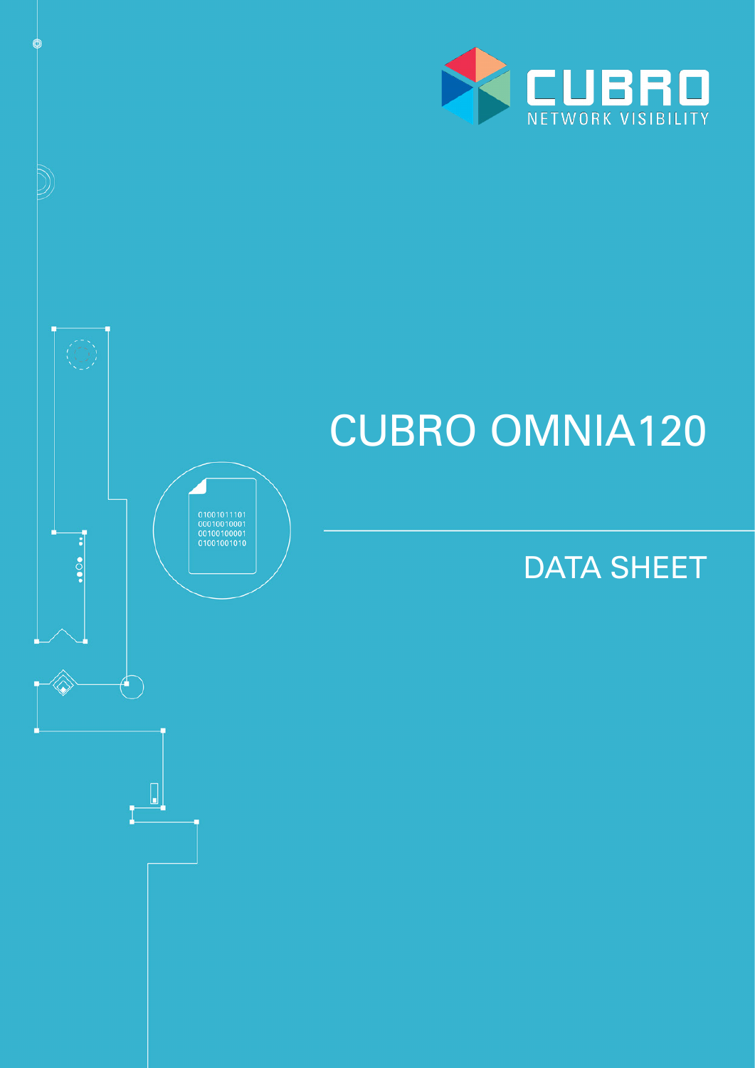

Ó

 $\frac{1}{2}$ 

 $\theta^-$ 

 $\begin{array}{c} \hline \end{array}$ 

 $\begin{array}{c} 01001011101 \\ 00010010001 \\ 00100100001 \\ 0100100101 \end{array}$ 

# CUBRO OMNIA120

# DATA SHEET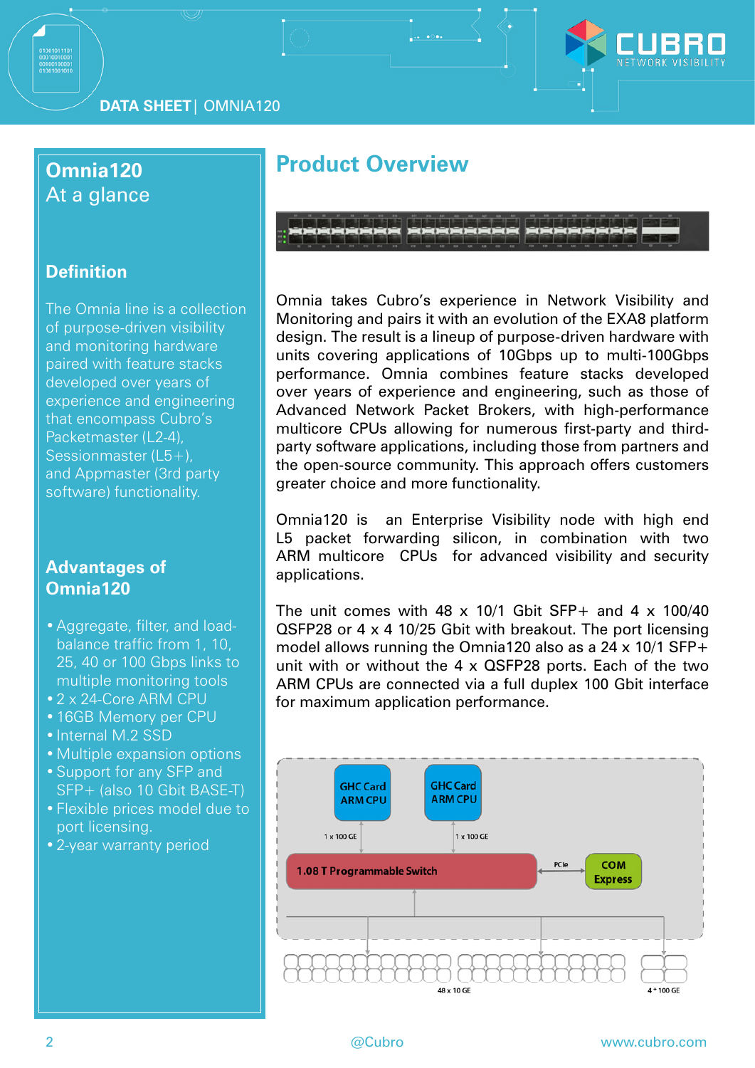

**DATA SHEET**| OMNIA120

#### **Omnia120** At a glance

#### **Definition**

The Omnia line is a collection of purpose-driven visibility and monitoring hardware paired with feature stacks developed over years of experience and engineering that encompass Cubro's Packetmaster (L2-4), Sessionmaster (L5+), and Appmaster (3rd party software) functionality.

#### **Advantages of Omnia120**

- •Aggregate, filter, and loadbalance traffic from 1, 10, 25, 40 or 100 Gbps links to multiple monitoring tools
- •2 x 24-Core ARM CPU
- •16GB Memory per CPU
- Internal M.2 SSD
- •Multiple expansion options
- •Support for any SFP and SFP+ (also 10 Gbit BASE-T)
- •Flexible prices model due to port licensing.
- •2-year warranty period

# **Product Overview**

Omnia takes Cubro's experience in Network Visibility and Monitoring and pairs it with an evolution of the EXA8 platform design. The result is a lineup of purpose-driven hardware with units covering applications of 10Gbps up to multi-100Gbps performance. Omnia combines feature stacks developed over years of experience and engineering, such as those of Advanced Network Packet Brokers, with high-performance multicore CPUs allowing for numerous first-party and thirdparty software applications, including those from partners and the open-source community. This approach offers customers greater choice and more functionality.

Omnia120 is an Enterprise Visibility node with high end L5 packet forwarding silicon, in combination with two ARM multicore CPUs for advanced visibility and security applications.

The unit comes with 48  $\times$  10/1 Gbit SFP+ and 4  $\times$  100/40 QSFP28 or 4 x 4 10/25 Gbit with breakout. The port licensing model allows running the Omnia120 also as a 24 x 10/1 SFP+ unit with or without the 4 x QSFP28 ports. Each of the two ARM CPUs are connected via a full duplex 100 Gbit interface for maximum application performance.

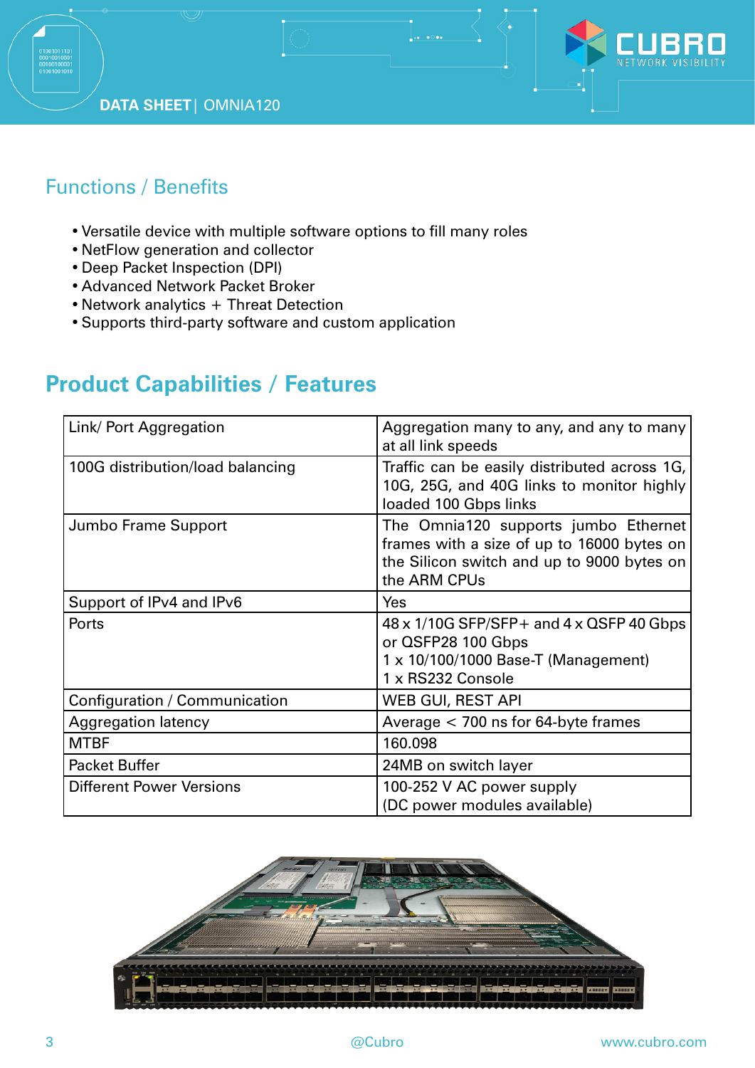



### Functions / Benefits

- •Versatile device with multiple software options to fill many roles
- •NetFlow generation and collector
- •Deep Packet Inspection (DPI)
- •Advanced Network Packet Broker
- Network analytics + Threat Detection
- •Supports third-party software and custom application

# **Product Capabilities / Features**

| Link/ Port Aggregation           | Aggregation many to any, and any to many<br>at all link speeds                                                                                   |
|----------------------------------|--------------------------------------------------------------------------------------------------------------------------------------------------|
| 100G distribution/load balancing | Traffic can be easily distributed across 1G,<br>10G, 25G, and 40G links to monitor highly<br>loaded 100 Gbps links                               |
| Jumbo Frame Support              | The Omnia120 supports jumbo Ethernet<br>frames with a size of up to 16000 bytes on<br>the Silicon switch and up to 9000 bytes on<br>the ARM CPUs |
| Support of IPv4 and IPv6         | Yes                                                                                                                                              |
| Ports                            | $48 \times 1/10$ G SFP/SFP + and $4 \times$ QSFP 40 Gbps<br>or QSFP28 100 Gbps<br>1 x 10/100/1000 Base-T (Management)<br>1 x RS232 Console       |
| Configuration / Communication    | <b>WEB GUI, REST API</b>                                                                                                                         |
| <b>Aggregation latency</b>       | Average $<$ 700 ns for 64-byte frames                                                                                                            |
| <b>MTBF</b>                      | 160.098                                                                                                                                          |
| <b>Packet Buffer</b>             | 24MB on switch layer                                                                                                                             |
| <b>Different Power Versions</b>  | 100-252 V AC power supply<br>(DC power modules available)                                                                                        |

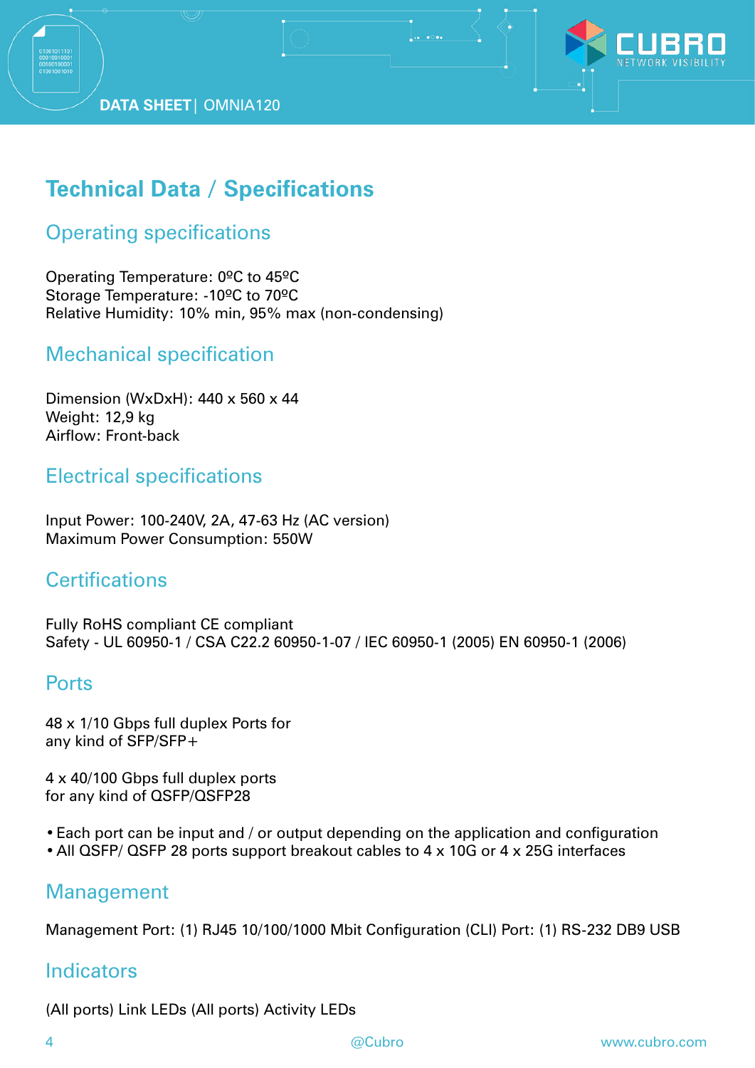**DATA SHEET**| OMNIA120



# **Technical Data / Specifications**

#### Operating specifications

Operating Temperature: 0ºC to 45ºC Storage Temperature: -10ºC to 70ºC Relative Humidity: 10% min, 95% max (non-condensing)

#### Mechanical specification

Dimension (WxDxH): 440 x 560 x 44 Weight: 12,9 kg Airflow: Front-back

#### Electrical specifications

Input Power: 100-240V, 2A, 47-63 Hz (AC version) Maximum Power Consumption: 550W

#### **Certifications**

Fully RoHS compliant CE compliant Safety - UL 60950-1 / CSA C22.2 60950-1-07 / IEC 60950-1 (2005) EN 60950-1 (2006)

#### **Ports**

48 x 1/10 Gbps full duplex Ports for any kind of SFP/SFP+

4 x 40/100 Gbps full duplex ports for any kind of QSFP/QSFP28

- •Each port can be input and / or output depending on the application and configuration
- •All QSFP/ QSFP 28 ports support breakout cables to 4 x 10G or 4 x 25G interfaces

#### Management

Management Port: (1) RJ45 10/100/1000 Mbit Configuration (CLI) Port: (1) RS-232 DB9 USB

#### **Indicators**

(All ports) Link LEDs (All ports) Activity LEDs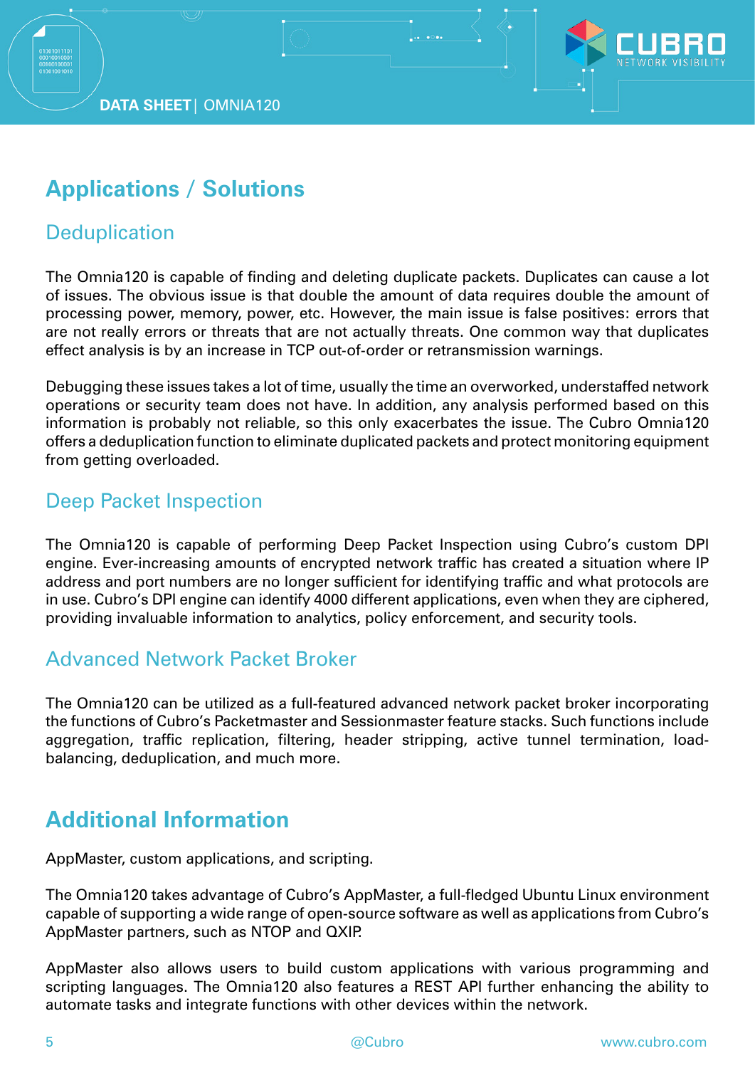

# **Applications / Solutions**

#### **Deduplication**

The Omnia120 is capable of finding and deleting duplicate packets. Duplicates can cause a lot of issues. The obvious issue is that double the amount of data requires double the amount of processing power, memory, power, etc. However, the main issue is false positives: errors that are not really errors or threats that are not actually threats. One common way that duplicates effect analysis is by an increase in TCP out-of-order or retransmission warnings.

Debugging these issues takes a lot of time, usually the time an overworked, understaffed network operations or security team does not have. In addition, any analysis performed based on this information is probably not reliable, so this only exacerbates the issue. The Cubro Omnia120 offers a deduplication function to eliminate duplicated packets and protect monitoring equipment from getting overloaded.

#### Deep Packet Inspection

The Omnia120 is capable of performing Deep Packet Inspection using Cubro's custom DPI engine. Ever-increasing amounts of encrypted network traffic has created a situation where IP address and port numbers are no longer sufficient for identifying traffic and what protocols are in use. Cubro's DPI engine can identify 4000 different applications, even when they are ciphered, providing invaluable information to analytics, policy enforcement, and security tools.

#### Advanced Network Packet Broker

The Omnia120 can be utilized as a full-featured advanced network packet broker incorporating the functions of Cubro's Packetmaster and Sessionmaster feature stacks. Such functions include aggregation, traffic replication, filtering, header stripping, active tunnel termination, loadbalancing, deduplication, and much more.

# **Additional Information**

AppMaster, custom applications, and scripting.

The Omnia120 takes advantage of Cubro's AppMaster, a full-fledged Ubuntu Linux environment capable of supporting a wide range of open-source software as well as applications from Cubro's AppMaster partners, such as NTOP and QXIP.

AppMaster also allows users to build custom applications with various programming and scripting languages. The Omnia120 also features a REST API further enhancing the ability to automate tasks and integrate functions with other devices within the network.